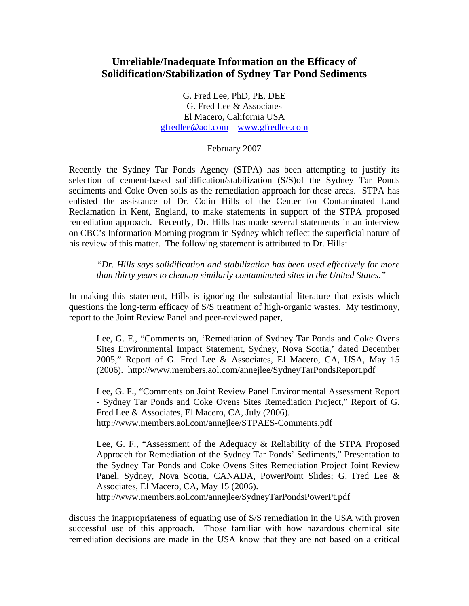## **Unreliable/Inadequate Information on the Efficacy of Solidification/Stabilization of Sydney Tar Pond Sediments**

G. Fred Lee, PhD, PE, DEE G. Fred Lee & Associates El Macero, California USA gfredlee@aol.com www.gfredlee.com

## February 2007

Recently the Sydney Tar Ponds Agency (STPA) has been attempting to justify its selection of cement-based solidification/stabilization (S/S)of the Sydney Tar Ponds sediments and Coke Oven soils as the remediation approach for these areas. STPA has enlisted the assistance of Dr. Colin Hills of the Center for Contaminated Land Reclamation in Kent, England, to make statements in support of the STPA proposed remediation approach. Recently, Dr. Hills has made several statements in an interview on CBC's Information Morning program in Sydney which reflect the superficial nature of his review of this matter. The following statement is attributed to Dr. Hills:

*"Dr. Hills says solidification and stabilization has been used effectively for more than thirty years to cleanup similarly contaminated sites in the United States."* 

In making this statement, Hills is ignoring the substantial literature that exists which questions the long-term efficacy of S/S treatment of high-organic wastes. My testimony, report to the Joint Review Panel and peer-reviewed paper,

Lee, G. F., "Comments on, 'Remediation of Sydney Tar Ponds and Coke Ovens Sites Environmental Impact Statement, Sydney, Nova Scotia,' dated December 2005," Report of G. Fred Lee & Associates, El Macero, CA, USA, May 15 (2006). http://www.members.aol.com/annejlee/SydneyTarPondsReport.pdf

Lee, G. F., "Comments on Joint Review Panel Environmental Assessment Report - Sydney Tar Ponds and Coke Ovens Sites Remediation Project," Report of G. Fred Lee & Associates, El Macero, CA, July (2006). http://www.members.aol.com/annejlee/STPAES-Comments.pdf

Lee, G. F., "Assessment of the Adequacy & Reliability of the STPA Proposed Approach for Remediation of the Sydney Tar Ponds' Sediments," Presentation to the Sydney Tar Ponds and Coke Ovens Sites Remediation Project Joint Review Panel, Sydney, Nova Scotia, CANADA, PowerPoint Slides; G. Fred Lee & Associates, El Macero, CA, May 15 (2006).

http://www.members.aol.com/annejlee/SydneyTarPondsPowerPt.pdf

discuss the inappropriateness of equating use of S/S remediation in the USA with proven successful use of this approach. Those familiar with how hazardous chemical site remediation decisions are made in the USA know that they are not based on a critical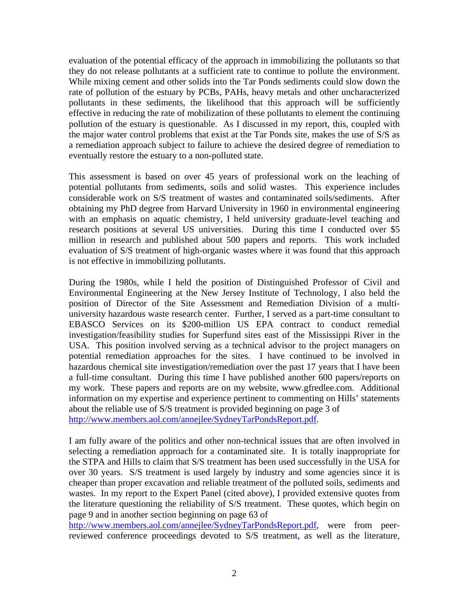evaluation of the potential efficacy of the approach in immobilizing the pollutants so that they do not release pollutants at a sufficient rate to continue to pollute the environment. While mixing cement and other solids into the Tar Ponds sediments could slow down the rate of pollution of the estuary by PCBs, PAHs, heavy metals and other uncharacterized pollutants in these sediments, the likelihood that this approach will be sufficiently effective in reducing the rate of mobilization of these pollutants to element the continuing pollution of the estuary is questionable. As I discussed in my report, this, coupled with the major water control problems that exist at the Tar Ponds site, makes the use of S/S as a remediation approach subject to failure to achieve the desired degree of remediation to eventually restore the estuary to a non-polluted state.

This assessment is based on over 45 years of professional work on the leaching of potential pollutants from sediments, soils and solid wastes. This experience includes considerable work on S/S treatment of wastes and contaminated soils/sediments. After obtaining my PhD degree from Harvard University in 1960 in environmental engineering with an emphasis on aquatic chemistry, I held university graduate-level teaching and research positions at several US universities. During this time I conducted over \$5 million in research and published about 500 papers and reports. This work included evaluation of S/S treatment of high-organic wastes where it was found that this approach is not effective in immobilizing pollutants.

During the 1980s, while I held the position of Distinguished Professor of Civil and Environmental Engineering at the New Jersey Institute of Technology, I also held the position of Director of the Site Assessment and Remediation Division of a multiuniversity hazardous waste research center. Further, I served as a part-time consultant to EBASCO Services on its \$200-million US EPA contract to conduct remedial investigation/feasibility studies for Superfund sites east of the Mississippi River in the USA. This position involved serving as a technical advisor to the project managers on potential remediation approaches for the sites. I have continued to be involved in hazardous chemical site investigation/remediation over the past 17 years that I have been a full-time consultant. During this time I have published another 600 papers/reports on my work. These papers and reports are on my website, www.gfredlee.com. Additional information on my expertise and experience pertinent to commenting on Hills' statements about the reliable use of S/S treatment is provided beginning on page 3 of http://www.members.aol.com/annejlee/SydneyTarPondsReport.pdf.

I am fully aware of the politics and other non-technical issues that are often involved in selecting a remediation approach for a contaminated site. It is totally inappropriate for the STPA and Hills to claim that S/S treatment has been used successfully in the USA for over 30 years. S/S treatment is used largely by industry and some agencies since it is cheaper than proper excavation and reliable treatment of the polluted soils, sediments and wastes. In my report to the Expert Panel (cited above), I provided extensive quotes from the literature questioning the reliability of S/S treatment. These quotes, which begin on page 9 and in another section beginning on page 63 of

http://www.members.aol.com/annejlee/SydneyTarPondsReport.pdf, were from peerreviewed conference proceedings devoted to S/S treatment, as well as the literature,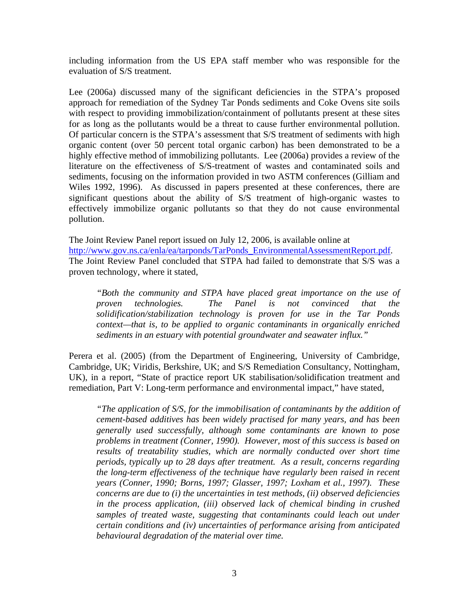including information from the US EPA staff member who was responsible for the evaluation of S/S treatment.

Lee (2006a) discussed many of the significant deficiencies in the STPA's proposed approach for remediation of the Sydney Tar Ponds sediments and Coke Ovens site soils with respect to providing immobilization/containment of pollutants present at these sites for as long as the pollutants would be a threat to cause further environmental pollution. Of particular concern is the STPA's assessment that S/S treatment of sediments with high organic content (over 50 percent total organic carbon) has been demonstrated to be a highly effective method of immobilizing pollutants. Lee (2006a) provides a review of the literature on the effectiveness of S/S-treatment of wastes and contaminated soils and sediments, focusing on the information provided in two ASTM conferences (Gilliam and Wiles 1992, 1996). As discussed in papers presented at these conferences, there are significant questions about the ability of S/S treatment of high-organic wastes to effectively immobilize organic pollutants so that they do not cause environmental pollution.

The Joint Review Panel report issued on July 12, 2006, is available online at http://www.gov.ns.ca/enla/ea/tarponds/TarPonds\_EnvironmentalAssessmentReport.pdf. The Joint Review Panel concluded that STPA had failed to demonstrate that S/S was a proven technology, where it stated,

*"Both the community and STPA have placed great importance on the use of proven technologies. The Panel is not convinced that the solidification/stabilization technology is proven for use in the Tar Ponds context—that is, to be applied to organic contaminants in organically enriched sediments in an estuary with potential groundwater and seawater influx."* 

Perera et al. (2005) (from the Department of Engineering, University of Cambridge, Cambridge, UK; Viridis, Berkshire, UK; and S/S Remediation Consultancy, Nottingham, UK), in a report, "State of practice report UK stabilisation/solidification treatment and remediation, Part V: Long-term performance and environmental impact," have stated,

*"The application of S/S, for the immobilisation of contaminants by the addition of cement-based additives has been widely practised for many years, and has been generally used successfully, although some contaminants are known to pose problems in treatment (Conner, 1990). However, most of this success is based on results of treatability studies, which are normally conducted over short time periods, typically up to 28 days after treatment. As a result, concerns regarding the long-term effectiveness of the technique have regularly been raised in recent years (Conner, 1990; Borns, 1997; Glasser, 1997; Loxham et al., 1997). These concerns are due to (i) the uncertainties in test methods, (ii) observed deficiencies in the process application, (iii) observed lack of chemical binding in crushed samples of treated waste, suggesting that contaminants could leach out under certain conditions and (iv) uncertainties of performance arising from anticipated behavioural degradation of the material over time.*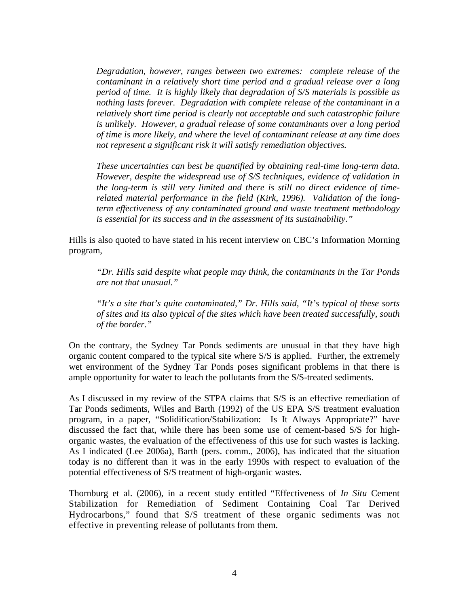*Degradation, however, ranges between two extremes: complete release of the contaminant in a relatively short time period and a gradual release over a long period of time. It is highly likely that degradation of S/S materials is possible as nothing lasts forever. Degradation with complete release of the contaminant in a relatively short time period is clearly not acceptable and such catastrophic failure is unlikely. However, a gradual release of some contaminants over a long period of time is more likely, and where the level of contaminant release at any time does not represent a significant risk it will satisfy remediation objectives.* 

*These uncertainties can best be quantified by obtaining real-time long-term data. However, despite the widespread use of S/S techniques, evidence of validation in the long-term is still very limited and there is still no direct evidence of timerelated material performance in the field (Kirk, 1996). Validation of the longterm effectiveness of any contaminated ground and waste treatment methodology is essential for its success and in the assessment of its sustainability."* 

Hills is also quoted to have stated in his recent interview on CBC's Information Morning program,

*"Dr. Hills said despite what people may think, the contaminants in the Tar Ponds are not that unusual."* 

*"It's a site that's quite contaminated," Dr. Hills said, "It's typical of these sorts of sites and its also typical of the sites which have been treated successfully, south of the border."* 

On the contrary, the Sydney Tar Ponds sediments are unusual in that they have high organic content compared to the typical site where S/S is applied. Further, the extremely wet environment of the Sydney Tar Ponds poses significant problems in that there is ample opportunity for water to leach the pollutants from the S/S-treated sediments.

As I discussed in my review of the STPA claims that S/S is an effective remediation of Tar Ponds sediments, Wiles and Barth (1992) of the US EPA S/S treatment evaluation program, in a paper, "Solidification/Stabilization: Is It Always Appropriate?" have discussed the fact that, while there has been some use of cement-based S/S for highorganic wastes, the evaluation of the effectiveness of this use for such wastes is lacking. As I indicated (Lee 2006a), Barth (pers. comm., 2006), has indicated that the situation today is no different than it was in the early 1990s with respect to evaluation of the potential effectiveness of S/S treatment of high-organic wastes.

Thornburg et al. (2006), in a recent study entitled "Effectiveness of *In Situ* Cement Stabilization for Remediation of Sediment Containing Coal Tar Derived Hydrocarbons," found that S/S treatment of these organic sediments was not effective in preventing release of pollutants from them.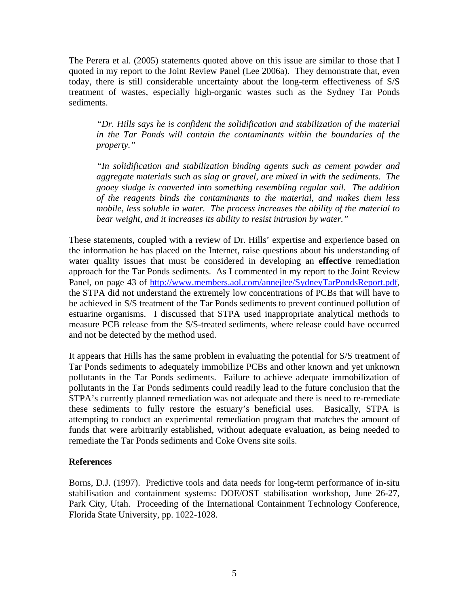The Perera et al. (2005) statements quoted above on this issue are similar to those that I quoted in my report to the Joint Review Panel (Lee 2006a). They demonstrate that, even today, there is still considerable uncertainty about the long-term effectiveness of S/S treatment of wastes, especially high-organic wastes such as the Sydney Tar Ponds sediments.

*"Dr. Hills says he is confident the solidification and stabilization of the material in the Tar Ponds will contain the contaminants within the boundaries of the property."* 

*"In solidification and stabilization binding agents such as cement powder and aggregate materials such as slag or gravel, are mixed in with the sediments. The gooey sludge is converted into something resembling regular soil. The addition of the reagents binds the contaminants to the material, and makes them less mobile, less soluble in water. The process increases the ability of the material to bear weight, and it increases its ability to resist intrusion by water."* 

These statements, coupled with a review of Dr. Hills' expertise and experience based on the information he has placed on the Internet, raise questions about his understanding of water quality issues that must be considered in developing an **effective** remediation approach for the Tar Ponds sediments. As I commented in my report to the Joint Review Panel, on page 43 of http://www.members.aol.com/annejlee/SydneyTarPondsReport.pdf, the STPA did not understand the extremely low concentrations of PCBs that will have to be achieved in S/S treatment of the Tar Ponds sediments to prevent continued pollution of estuarine organisms. I discussed that STPA used inappropriate analytical methods to measure PCB release from the S/S-treated sediments, where release could have occurred and not be detected by the method used.

It appears that Hills has the same problem in evaluating the potential for S/S treatment of Tar Ponds sediments to adequately immobilize PCBs and other known and yet unknown pollutants in the Tar Ponds sediments. Failure to achieve adequate immobilization of pollutants in the Tar Ponds sediments could readily lead to the future conclusion that the STPA's currently planned remediation was not adequate and there is need to re-remediate these sediments to fully restore the estuary's beneficial uses. Basically, STPA is attempting to conduct an experimental remediation program that matches the amount of funds that were arbitrarily established, without adequate evaluation, as being needed to remediate the Tar Ponds sediments and Coke Ovens site soils.

## **References**

Borns, D.J. (1997). Predictive tools and data needs for long-term performance of in-situ stabilisation and containment systems: DOE/OST stabilisation workshop, June 26-27, Park City, Utah. Proceeding of the International Containment Technology Conference, Florida State University, pp. 1022-1028.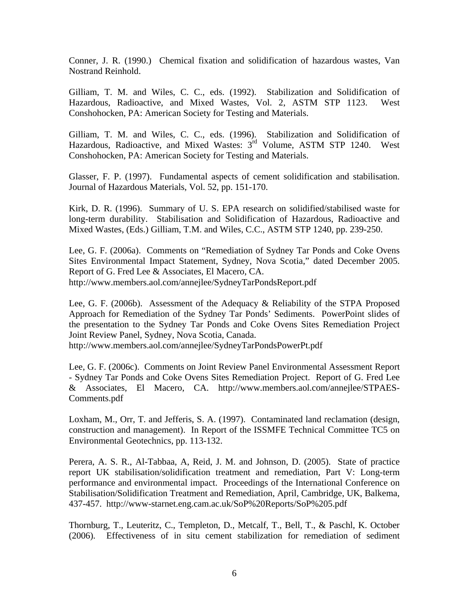Conner, J. R. (1990.) Chemical fixation and solidification of hazardous wastes, Van Nostrand Reinhold.

Gilliam, T. M. and Wiles, C. C., eds. (1992). Stabilization and Solidification of Hazardous, Radioactive, and Mixed Wastes, Vol. 2, ASTM STP 1123. West Conshohocken, PA: American Society for Testing and Materials.

Gilliam, T. M. and Wiles, C. C., eds. (1996). Stabilization and Solidification of Hazardous, Radioactive, and Mixed Wastes: 3<sup>rd</sup> Volume, ASTM STP 1240. West Conshohocken, PA: American Society for Testing and Materials.

Glasser, F. P. (1997). Fundamental aspects of cement solidification and stabilisation. Journal of Hazardous Materials, Vol. 52, pp. 151-170.

Kirk, D. R. (1996). Summary of U. S. EPA research on solidified/stabilised waste for long-term durability. Stabilisation and Solidification of Hazardous, Radioactive and Mixed Wastes, (Eds.) Gilliam, T.M. and Wiles, C.C., ASTM STP 1240, pp. 239-250.

Lee, G. F. (2006a). Comments on "Remediation of Sydney Tar Ponds and Coke Ovens Sites Environmental Impact Statement, Sydney, Nova Scotia," dated December 2005. Report of G. Fred Lee & Associates, El Macero, CA. http://www.members.aol.com/annejlee/SydneyTarPondsReport.pdf

Lee, G. F. (2006b). Assessment of the Adequacy & Reliability of the STPA Proposed Approach for Remediation of the Sydney Tar Ponds' Sediments. PowerPoint slides of the presentation to the Sydney Tar Ponds and Coke Ovens Sites Remediation Project Joint Review Panel, Sydney, Nova Scotia, Canada.

http://www.members.aol.com/annejlee/SydneyTarPondsPowerPt.pdf

Lee, G. F. (2006c). Comments on Joint Review Panel Environmental Assessment Report - Sydney Tar Ponds and Coke Ovens Sites Remediation Project. Report of G. Fred Lee & Associates, El Macero, CA. http://www.members.aol.com/annejlee/STPAES-Comments.pdf

Loxham, M., Orr, T. and Jefferis, S. A. (1997). Contaminated land reclamation (design, construction and management). In Report of the ISSMFE Technical Committee TC5 on Environmental Geotechnics, pp. 113-132.

Perera, A. S. R., Al-Tabbaa, A, Reid, J. M. and Johnson, D. (2005). State of practice report UK stabilisation/solidification treatment and remediation, Part V: Long-term performance and environmental impact. Proceedings of the International Conference on Stabilisation/Solidification Treatment and Remediation, April, Cambridge, UK, Balkema, 437-457. http://www-starnet.eng.cam.ac.uk/SoP%20Reports/SoP%205.pdf

Thornburg, T., Leuteritz, C., Templeton, D., Metcalf, T., Bell, T., & Paschl, K. October (2006). Effectiveness of in situ cement stabilization for remediation of sediment